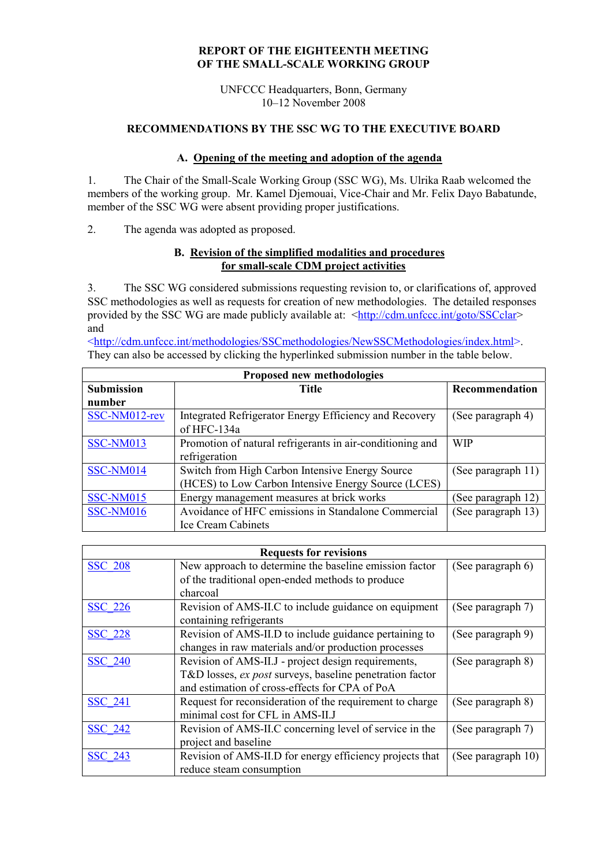### **REPORT OF THE EIGHTEENTH MEETING OF THE SMALL-SCALE WORKING GROUP**

UNFCCC Headquarters, Bonn, Germany 10–12 November 2008

### **RECOMMENDATIONS BY THE SSC WG TO THE EXECUTIVE BOARD**

### **A. Opening of the meeting and adoption of the agenda**

1. The Chair of the Small-Scale Working Group (SSC WG), Ms. Ulrika Raab welcomed the members of the working group. Mr. Kamel Djemouai, Vice-Chair and Mr. Felix Dayo Babatunde, member of the SSC WG were absent providing proper justifications.

2. The agenda was adopted as proposed.

### **B. Revision of the simplified modalities and procedures for small-scale CDM project activities**

3. The SSC WG considered submissions requesting revision to, or clarifications of, approved SSC methodologies as well as requests for creation of new methodologies. The detailed responses provided by the SSC WG are made publicly available at: <<http://cdm.unfccc.int/goto/SSCclar>> and

[<http://cdm.unfccc.int/methodologies/SSCmethodologies/NewSSCMethodologies/index.html>](http://cdm.unfccc.int/methodologies/SSCmethodologies/NewSSCMethodologies/index.html). They can also be accessed by clicking the hyperlinked submission number in the table below.

| <b>Proposed new methodologies</b> |                                                           |                    |  |  |
|-----------------------------------|-----------------------------------------------------------|--------------------|--|--|
| <b>Submission</b>                 | <b>Title</b>                                              | Recommendation     |  |  |
| number                            |                                                           |                    |  |  |
| SSC-NM012-rev                     | Integrated Refrigerator Energy Efficiency and Recovery    | (See paragraph 4)  |  |  |
|                                   | of HFC-134a                                               |                    |  |  |
| SSC-NM013                         | Promotion of natural refrigerants in air-conditioning and | <b>WIP</b>         |  |  |
|                                   | refrigeration                                             |                    |  |  |
| SSC-NM014                         | Switch from High Carbon Intensive Energy Source           | (See paragraph 11) |  |  |
|                                   | (HCES) to Low Carbon Intensive Energy Source (LCES)       |                    |  |  |
| SSC-NM015                         | Energy management measures at brick works                 | (See paragraph 12) |  |  |
| SSC-NM016                         | Avoidance of HFC emissions in Standalone Commercial       | (See paragraph 13) |  |  |
|                                   | <b>Ice Cream Cabinets</b>                                 |                    |  |  |

| <b>Requests for revisions</b> |                                                          |                    |  |  |
|-------------------------------|----------------------------------------------------------|--------------------|--|--|
| <b>SSC 208</b>                | New approach to determine the baseline emission factor   | (See paragraph 6)  |  |  |
|                               | of the traditional open-ended methods to produce         |                    |  |  |
|                               | charcoal                                                 |                    |  |  |
| <b>SSC 226</b>                | Revision of AMS-II.C to include guidance on equipment    | (See paragraph 7)  |  |  |
|                               | containing refrigerants                                  |                    |  |  |
| <b>SSC 228</b>                | Revision of AMS-II.D to include guidance pertaining to   | (See paragraph 9)  |  |  |
|                               | changes in raw materials and/or production processes     |                    |  |  |
| <b>SSC 240</b>                | Revision of AMS-II.J - project design requirements,      | (See paragraph 8)  |  |  |
|                               | T&D losses, ex post surveys, baseline penetration factor |                    |  |  |
|                               | and estimation of cross-effects for CPA of PoA           |                    |  |  |
| <b>SSC 241</b>                | Request for reconsideration of the requirement to charge | (See paragraph 8)  |  |  |
|                               | minimal cost for CFL in AMS-II.J                         |                    |  |  |
| <b>SSC 242</b>                | Revision of AMS-II.C concerning level of service in the  | (See paragraph 7)  |  |  |
|                               | project and baseline                                     |                    |  |  |
| <b>SSC 243</b>                | Revision of AMS-II.D for energy efficiency projects that | (See paragraph 10) |  |  |
|                               | reduce steam consumption                                 |                    |  |  |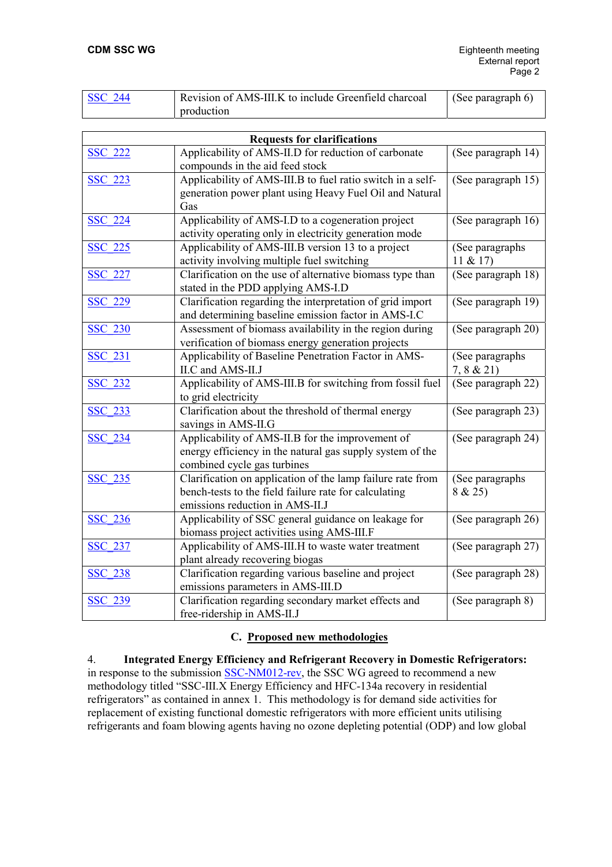| <b>SSC 244</b> | Revision of AMS-III.K to include Greenfield charcoal | (See paragraph $6$ ) |
|----------------|------------------------------------------------------|----------------------|
|                | production                                           |                      |

| <b>Requests for clarifications</b> |                                                                                                                                                        |                              |  |  |
|------------------------------------|--------------------------------------------------------------------------------------------------------------------------------------------------------|------------------------------|--|--|
| <b>SSC 222</b>                     | Applicability of AMS-II.D for reduction of carbonate<br>compounds in the aid feed stock                                                                | (See paragraph 14)           |  |  |
| <b>SSC 223</b>                     | Applicability of AMS-III.B to fuel ratio switch in a self-<br>generation power plant using Heavy Fuel Oil and Natural<br>Gas                           | (See paragraph 15)           |  |  |
| <b>SSC 224</b>                     | Applicability of AMS-I.D to a cogeneration project<br>activity operating only in electricity generation mode                                           | (See paragraph 16)           |  |  |
| SSC 225                            | Applicability of AMS-III.B version 13 to a project<br>activity involving multiple fuel switching                                                       | (See paragraphs)<br>11 & 217 |  |  |
| <b>SSC 227</b>                     | Clarification on the use of alternative biomass type than<br>stated in the PDD applying AMS-I.D                                                        | (See paragraph 18)           |  |  |
| <b>SSC 229</b>                     | Clarification regarding the interpretation of grid import<br>and determining baseline emission factor in AMS-I.C                                       | (See paragraph 19)           |  |  |
| <b>SSC 230</b>                     | Assessment of biomass availability in the region during<br>verification of biomass energy generation projects                                          | (See paragraph 20)           |  |  |
| <b>SSC 231</b>                     | Applicability of Baseline Penetration Factor in AMS-<br>II.C and AMS-II.J                                                                              | (See paragraphs<br>7, 8 & 21 |  |  |
| <b>SSC 232</b>                     | Applicability of AMS-III.B for switching from fossil fuel<br>to grid electricity                                                                       | (See paragraph 22)           |  |  |
| <b>SSC 233</b>                     | Clarification about the threshold of thermal energy<br>savings in AMS-II.G                                                                             | (See paragraph 23)           |  |  |
| <b>SSC 234</b>                     | Applicability of AMS-II.B for the improvement of<br>energy efficiency in the natural gas supply system of the<br>combined cycle gas turbines           | (See paragraph 24)           |  |  |
| <b>SSC 235</b>                     | Clarification on application of the lamp failure rate from<br>bench-tests to the field failure rate for calculating<br>emissions reduction in AMS-II.J | (See paragraphs<br>8 & 25    |  |  |
| <b>SSC 236</b>                     | Applicability of SSC general guidance on leakage for<br>biomass project activities using AMS-III.F                                                     | (See paragraph 26)           |  |  |
| <b>SSC 237</b>                     | Applicability of AMS-III.H to waste water treatment<br>plant already recovering biogas                                                                 | (See paragraph 27)           |  |  |
| <b>SSC 238</b>                     | Clarification regarding various baseline and project<br>emissions parameters in AMS-III.D                                                              | (See paragraph 28)           |  |  |
| <b>SSC 239</b>                     | Clarification regarding secondary market effects and<br>free-ridership in AMS-II.J                                                                     | (See paragraph 8)            |  |  |

#### **C. Proposed new methodologies**

4. **Integrated Energy Efficiency and Refrigerant Recovery in Domestic Refrigerators:** in response to the submission [SSC-NM012-rev](http://cdm.unfccc.int/UserManagement/FileStorage/47K09ABCX5J8F1SNROQZHEDIL2G3VU.pdf), the SSC WG agreed to recommend a new methodology titled "SSC-III.X Energy Efficiency and HFC-134a recovery in residential refrigerators" as contained in annex 1. This methodology is for demand side activities for replacement of existing functional domestic refrigerators with more efficient units utilising refrigerants and foam blowing agents having no ozone depleting potential (ODP) and low global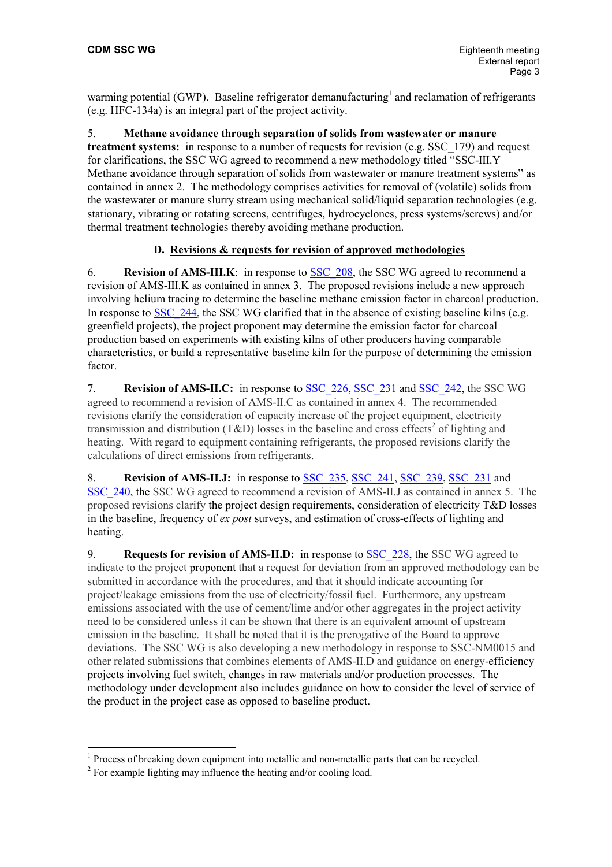warming potential (GWP). Baseline refrigerator demanufacturing<sup>1</sup> and reclamation of refrigerants (e.g. HFC-134a) is an integral part of the project activity.

5. **Methane avoidance through separation of solids from wastewater or manure treatment systems:** in response to a number of requests for revision (e.g. SSC\_179) and request for clarifications, the SSC WG agreed to recommend a new methodology titled "SSC-III.Y Methane avoidance through separation of solids from wastewater or manure treatment systems" as contained in annex 2. The methodology comprises activities for removal of (volatile) solids from the wastewater or manure slurry stream using mechanical solid/liquid separation technologies (e.g. stationary, vibrating or rotating screens, centrifuges, hydrocyclones, press systems/screws) and/or thermal treatment technologies thereby avoiding methane production.

## **D. Revisions & requests for revision of approved methodologies**

6. **Revision of AMS-III.K**: in response to [SSC\\_208](http://cdm.unfccc.int/UserManagement/FileStorage/AM_CLAR_RBW5E898L32AG37U0WOKP1J1KZGS7U), the SSC WG agreed to recommend a revision of AMS-III.K as contained in annex 3. The proposed revisions include a new approach involving helium tracing to determine the baseline methane emission factor in charcoal production. In response to [SSC\\_244](http://cdm.unfccc.int/UserManagement/FileStorage/AM_CLAR_I0H0OPWEFGXNJBO7ECDJCA5GSDGB9F), the SSC WG clarified that in the absence of existing baseline kilns (e.g. greenfield projects), the project proponent may determine the emission factor for charcoal production based on experiments with existing kilns of other producers having comparable characteristics, or build a representative baseline kiln for the purpose of determining the emission factor.

7. **Revision of AMS-II.C:** in response to [SSC\\_226,](http://cdm.unfccc.int/UserManagement/FileStorage/AM_CLAR_HWMBA126YYUBVJTN12JQ8O9AW69V14) [SSC\\_231](http://cdm.unfccc.int/UserManagement/FileStorage/AM_CLAR_51OU5YM8DRAZ88KXX7PXUM7FIRAV8A) and [SSC\\_242,](http://cdm.unfccc.int/UserManagement/FileStorage/AM_CLAR_RF5C5A3ZFK2JOF8FA3RV8Z9TD72BYH) the SSC WG agreed to recommend a revision of AMS-II.C as contained in annex 4. The recommended revisions clarify the consideration of capacity increase of the project equipment, electricity transmissionand distribution (T&D) losses in the baseline and cross effects<sup>2</sup> of lighting and heating. With regard to equipment containing refrigerants, the proposed revisions clarify the calculations of direct emissions from refrigerants.

8. **Revision of AMS-II.J:** in response to [SSC\\_235](http://cdm.unfccc.int/UserManagement/FileStorage/AM_CLAR_I2SMJF4TGDSKFBAHRWD4NZKG1Y5AN6), [SSC\\_241](http://cdm.unfccc.int/UserManagement/FileStorage/AM_CLAR_68RVI4B8E8WSP2R70OP4Y0QNCL0JJH), [SSC\\_239,](http://cdm.unfccc.int/UserManagement/FileStorage/AM_CLAR_J74SMDHV7E6GJSSV6OSQZFU14GEY6P) [SSC\\_231](http://cdm.unfccc.int/UserManagement/FileStorage/AM_CLAR_51OU5YM8DRAZ88KXX7PXUM7FIRAV8A) and [SSC\\_240,](http://cdm.unfccc.int/UserManagement/FileStorage/AM_CLAR_I3D842JJXCBNVLYIBYDZ227OL6DONW) the SSC WG agreed to recommend a revision of AMS-II.J as contained in annex 5. The proposed revisions clarify the project design requirements, consideration of electricity T&D losses in the baseline, frequency of *ex post* surveys, and estimation of cross-effects of lighting and heating.

9. **Requests for revision of AMS-II.D:** in response to **SSC** 228, the SSC WG agreed to indicate to the project proponent that a request for deviation from an approved methodology can be submitted in accordance with the procedures, and that it should indicate accounting for project/leakage emissions from the use of electricity/fossil fuel. Furthermore, any upstream emissions associated with the use of cement/lime and/or other aggregates in the project activity need to be considered unless it can be shown that there is an equivalent amount of upstream emission in the baseline. It shall be noted that it is the prerogative of the Board to approve deviations. The SSC WG is also developing a new methodology in response to SSC-NM0015 and other related submissions that combines elements of AMS-II.D and guidance on energy-efficiency projects involving fuel switch, changes in raw materials and/or production processes. The methodology under development also includes guidance on how to consider the level of service of the product in the project case as opposed to baseline product.

<span id="page-2-0"></span><sup>&</sup>lt;sup>1</sup> Process of breaking down equipment into metallic and non-metallic parts that can be recycled.

<span id="page-2-1"></span> $2^2$  For example lighting may influence the heating and/or cooling load.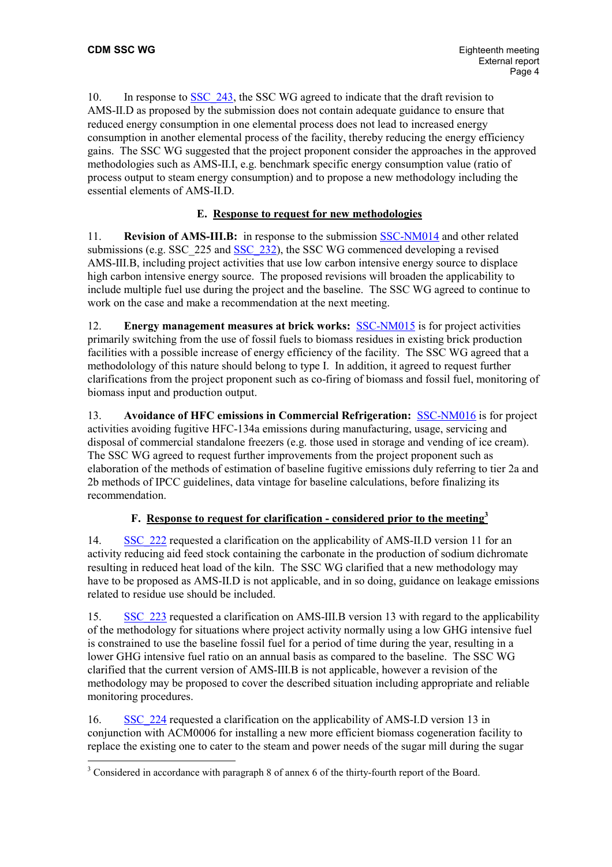10. In response to SSC 243, the SSC WG agreed to indicate that the draft revision to AMS-II.D as proposed by the submission does not contain adequate guidance to ensure that reduced energy consumption in one elemental process does not lead to increased energy consumption in another elemental process of the facility, thereby reducing the energy efficiency gains. The SSC WG suggested that the project proponent consider the approaches in the approved methodologies such as AMS-II.I, e.g. benchmark specific energy consumption value (ratio of process output to steam energy consumption) and to propose a new methodology including the essential elements of AMS-II.D.

## **E. Response to request for new methodologies**

11. **Revision of AMS-III.B:** in response to the submission [SSC-NM014](http://cdm.unfccc.int/UserManagement/FileStorage/CDMWF_18IFEETFKT01K5C86HZK7JAHFZ7B9R) and other related submissions (e.g. SSC\_225 and [SSC\\_232\)](http://cdm.unfccc.int/UserManagement/FileStorage/AM_CLAR_0RQ90JKCALY449M8KOYRJ3J9I3BOSH), the SSC WG commenced developing a revised AMS-III.B, including project activities that use low carbon intensive energy source to displace high carbon intensive energy source. The proposed revisions will broaden the applicability to include multiple fuel use during the project and the baseline. The SSC WG agreed to continue to work on the case and make a recommendation at the next meeting.

12. **Energy management measures at brick works:** [SSC-NM015](http://cdm.unfccc.int/UserManagement/FileStorage/CDMWF_S89R3MH91AHSOVPBNQ2Y4LLC1RDRQZ) is for project activities primarily switching from the use of fossil fuels to biomass residues in existing brick production facilities with a possible increase of energy efficiency of the facility. The SSC WG agreed that a methodolology of this nature should belong to type I. In addition, it agreed to request further clarifications from the project proponent such as co-firing of biomass and fossil fuel, monitoring of biomass input and production output.

13. **Avoidance of HFC emissions in Commercial Refrigeration:** [SSC-NM016](http://cdm.unfccc.int/UserManagement/FileStorage/CDMWF_LNJQO03K0YH1B7VHKO3I8FYHM12JXB) is for project activities avoiding fugitive HFC-134a emissions during manufacturing, usage, servicing and disposal of commercial standalone freezers (e.g. those used in storage and vending of ice cream). The SSC WG agreed to request further improvements from the project proponent such as elaboration of the methods of estimation of baseline fugitive emissions duly referring to tier 2a and 2b methods of IPCC guidelines, data vintage for baseline calculations, before finalizing its recommendation.

# **F. Response to request for clarification - considered prior to the meeting[3](#page-3-0)**

14. [SSC\\_222](http://cdm.unfccc.int/UserManagement/FileStorage/AM_CLAR_JS5GGT7QHMZMH59M3F7LF780W5PLP6) requested a clarification on the applicability of AMS-II.D version 11 for an activity reducing aid feed stock containing the carbonate in the production of sodium dichromate resulting in reduced heat load of the kiln. The SSC WG clarified that a new methodology may have to be proposed as AMS-II.D is not applicable, and in so doing, guidance on leakage emissions related to residue use should be included.

15. [SSC\\_223](http://cdm.unfccc.int/UserManagement/FileStorage/AM_CLAR_JS5GGT7QHMZMH59M3F7LF780W5PLP6) requested a clarification on AMS-III.B version 13 with regard to the applicability of the methodology for situations where project activity normally using a low GHG intensive fuel is constrained to use the baseline fossil fuel for a period of time during the year, resulting in a lower GHG intensive fuel ratio on an annual basis as compared to the baseline. The SSC WG clarified that the current version of AMS-III.B is not applicable, however a revision of the methodology may be proposed to cover the described situation including appropriate and reliable monitoring procedures.

16. [SSC\\_224](http://cdm.unfccc.int/UserManagement/FileStorage/AM_CLAR_H4AI07HTOTFA7SLRNRL4RC106T9Y2J) requested a clarification on the applicability of AMS-I.D version 13 in conjunction with ACM0006 for installing a new more efficient biomass cogeneration facility to replace the existing one to cater to the steam and power needs of the sugar mill during the sugar

<span id="page-3-0"></span> <sup>3</sup> Considered in accordance with paragraph 8 of annex 6 of the thirty-fourth report of the Board.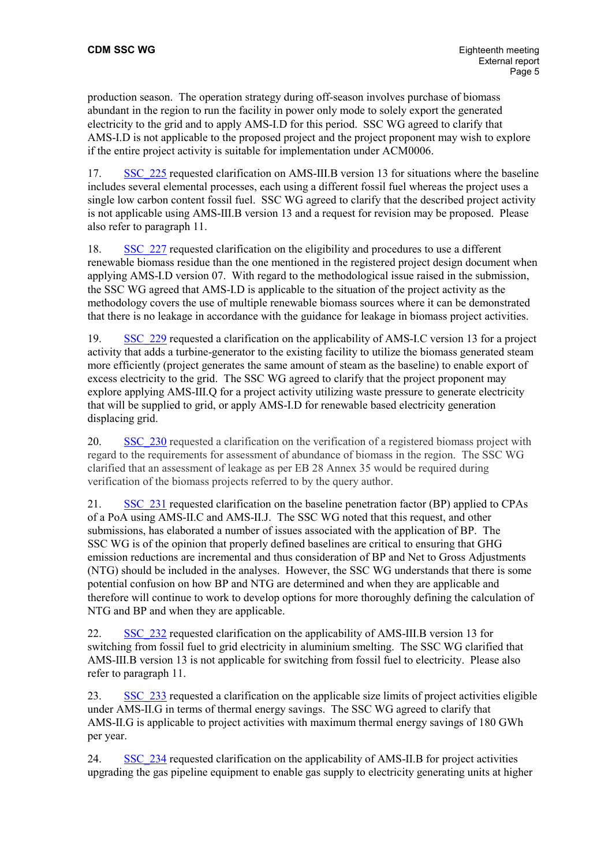production season. The operation strategy during off-season involves purchase of biomass abundant in the region to run the facility in power only mode to solely export the generated electricity to the grid and to apply AMS-I.D for this period. SSC WG agreed to clarify that AMS-I.D is not applicable to the proposed project and the project proponent may wish to explore if the entire project activity is suitable for implementation under ACM0006.

17. [SSC\\_225](http://cdm.unfccc.int/UserManagement/FileStorage/AM_CLAR_68CCLSYR48RR9HU0HA1AOEMMO5164R) requested clarification on AMS-III.B version 13 for situations where the baseline includes several elemental processes, each using a different fossil fuel whereas the project uses a single low carbon content fossil fuel. SSC WG agreed to clarify that the described project activity is not applicable using AMS-III.B version 13 and a request for revision may be proposed. Please also refer to paragraph 11.

18. [SSC\\_227](http://cdm.unfccc.int/UserManagement/FileStorage/AM_CLAR_HDV52MOIH1BDHZEX64YU0YSAOVEV4J) requested clarification on the eligibility and procedures to use a different renewable biomass residue than the one mentioned in the registered project design document when applying AMS-I.D version 07. With regard to the methodological issue raised in the submission, the SSC WG agreed that AMS-I.D is applicable to the situation of the project activity as the methodology covers the use of multiple renewable biomass sources where it can be demonstrated that there is no leakage in accordance with the guidance for leakage in biomass project activities.

19. [SSC\\_229](http://cdm.unfccc.int/UserManagement/FileStorage/AM_CLAR_RZD04IBGHHOLQL3H41646RVIY5T4M9) requested a clarification on the applicability of AMS-I.C version 13 for a project activity that adds a turbine-generator to the existing facility to utilize the biomass generated steam more efficiently (project generates the same amount of steam as the baseline) to enable export of excess electricity to the grid. The SSC WG agreed to clarify that the project proponent may explore applying AMS-III.Q for a project activity utilizing waste pressure to generate electricity that will be supplied to grid, or apply AMS-I.D for renewable based electricity generation displacing grid.

20. SSC 230 requested a clarification on the verification of a registered biomass project with regard to the requirements for assessment of abundance of biomass in the region. The SSC WG clarified that an assessment of leakage as per EB 28 Annex 35 would be required during verification of the biomass projects referred to by the query author.

21. [SSC\\_231](http://cdm.unfccc.int/UserManagement/FileStorage/AM_CLAR_51OU5YM8DRAZ88KXX7PXUM7FIRAV8A) requested clarification on the baseline penetration factor (BP) applied to CPAs of a PoA using AMS-II.C and AMS-II.J. The SSC WG noted that this request, and other submissions, has elaborated a number of issues associated with the application of BP. The SSC WG is of the opinion that properly defined baselines are critical to ensuring that GHG emission reductions are incremental and thus consideration of BP and Net to Gross Adjustments (NTG) should be included in the analyses. However, the SSC WG understands that there is some potential confusion on how BP and NTG are determined and when they are applicable and therefore will continue to work to develop options for more thoroughly defining the calculation of NTG and BP and when they are applicable.

22. [SSC\\_232](http://cdm.unfccc.int/UserManagement/FileStorage/AM_CLAR_0RQ90JKCALY449M8KOYRJ3J9I3BOSH) requested clarification on the applicability of AMS-III.B version 13 for switching from fossil fuel to grid electricity in aluminium smelting. The SSC WG clarified that AMS-III.B version 13 is not applicable for switching from fossil fuel to electricity. Please also refer to paragraph 11.

23. [SSC\\_233](http://cdm.unfccc.int/UserManagement/FileStorage/AM_CLAR_VIIC5MTUUWR9PRPJL0EXOT3G2CKSFQ) requested a clarification on the applicable size limits of project activities eligible under AMS-II.G in terms of thermal energy savings. The SSC WG agreed to clarify that AMS-II.G is applicable to project activities with maximum thermal energy savings of 180 GWh per year.

24. [SSC\\_234](http://cdm.unfccc.int/UserManagement/FileStorage/AM_CLAR_MB11VE5BE2VTMG650YDXW1MICEZ2TI) requested clarification on the applicability of AMS-II.B for project activities upgrading the gas pipeline equipment to enable gas supply to electricity generating units at higher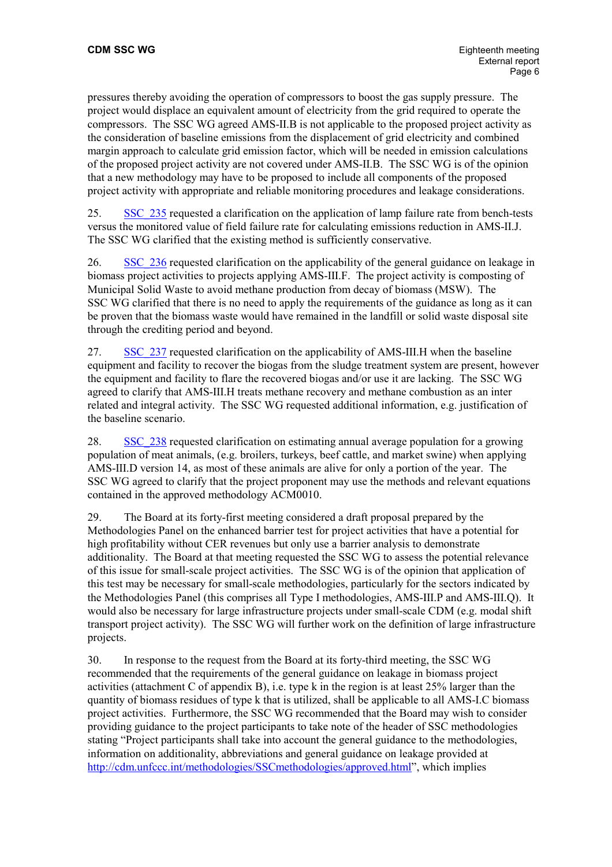pressures thereby avoiding the operation of compressors to boost the gas supply pressure. The project would displace an equivalent amount of electricity from the grid required to operate the compressors. The SSC WG agreed AMS-II.B is not applicable to the proposed project activity as the consideration of baseline emissions from the displacement of grid electricity and combined margin approach to calculate grid emission factor, which will be needed in emission calculations of the proposed project activity are not covered under AMS-II.B. The SSC WG is of the opinion that a new methodology may have to be proposed to include all components of the proposed project activity with appropriate and reliable monitoring procedures and leakage considerations.

25. [SSC\\_235](http://cdm.unfccc.int/UserManagement/FileStorage/AM_CLAR_I2SMJF4TGDSKFBAHRWD4NZKG1Y5AN6) requested a clarification on the application of lamp failure rate from bench-tests versus the monitored value of field failure rate for calculating emissions reduction in AMS-II.J. The SSC WG clarified that the existing method is sufficiently conservative.

26. SSC 236 requested clarification on the applicability of the general guidance on leakage in biomass project activities to projects applying AMS-III.F. The project activity is composting of Municipal Solid Waste to avoid methane production from decay of biomass (MSW). The SSC WG clarified that there is no need to apply the requirements of the guidance as long as it can be proven that the biomass waste would have remained in the landfill or solid waste disposal site through the crediting period and beyond.

27. [SSC\\_237](http://cdm.unfccc.int/UserManagement/FileStorage/AM_CLAR_NR8T0EEW0Y6P30I01PJ2AD3LLWSU6Q) requested clarification on the applicability of AMS-III.H when the baseline equipment and facility to recover the biogas from the sludge treatment system are present, however the equipment and facility to flare the recovered biogas and/or use it are lacking. The SSC WG agreed to clarify that AMS-III.H treats methane recovery and methane combustion as an inter related and integral activity. The SSC WG requested additional information, e.g. justification of the baseline scenario.

28. [SSC\\_238](http://cdm.unfccc.int/UserManagement/FileStorage/AM_CLAR_79NUC185JQQD1TQQRFN4ZVM283RHJK) requested clarification on estimating annual average population for a growing population of meat animals, (e.g. broilers, turkeys, beef cattle, and market swine) when applying AMS-III.D version 14, as most of these animals are alive for only a portion of the year. The SSC WG agreed to clarify that the project proponent may use the methods and relevant equations contained in the approved methodology ACM0010.

29. The Board at its forty-first meeting considered a draft proposal prepared by the Methodologies Panel on the enhanced barrier test for project activities that have a potential for high profitability without CER revenues but only use a barrier analysis to demonstrate additionality. The Board at that meeting requested the SSC WG to assess the potential relevance of this issue for small-scale project activities. The SSC WG is of the opinion that application of this test may be necessary for small-scale methodologies, particularly for the sectors indicated by the Methodologies Panel (this comprises all Type I methodologies, AMS-III.P and AMS-III.Q). It would also be necessary for large infrastructure projects under small-scale CDM (e.g. modal shift transport project activity). The SSC WG will further work on the definition of large infrastructure projects.

30. In response to the request from the Board at its forty-third meeting, the SSC WG recommended that the requirements of the general guidance on leakage in biomass project activities (attachment C of appendix B), i.e. type k in the region is at least 25% larger than the quantity of biomass residues of type k that is utilized, shall be applicable to all AMS-I.C biomass project activities. Furthermore, the SSC WG recommended that the Board may wish to consider providing guidance to the project participants to take note of the header of SSC methodologies stating "Project participants shall take into account the general guidance to the methodologies, information on additionality, abbreviations and general guidance on leakage provided at <http://cdm.unfccc.int/methodologies/SSCmethodologies/approved.html>", which implies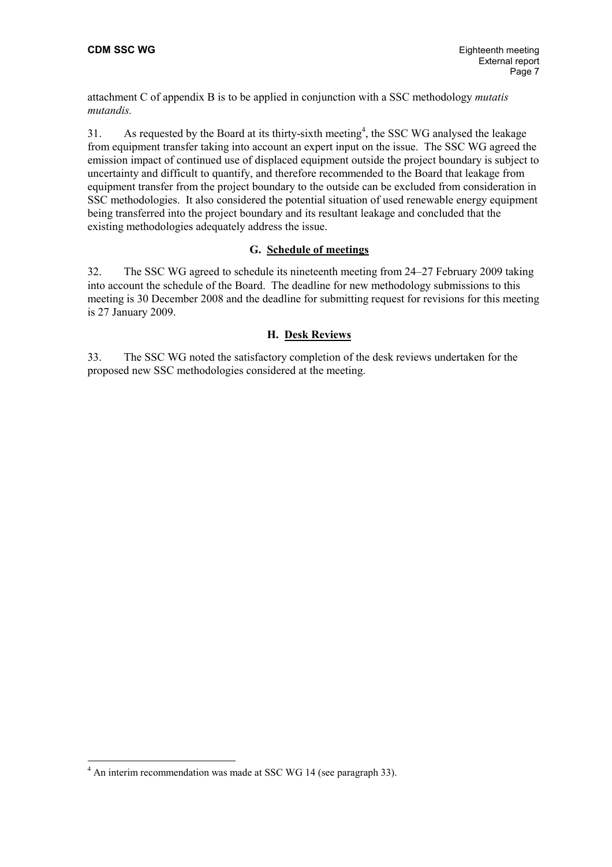attachment C of appendix B is to be applied in conjunction with a SSC methodology *mutatis mutandis.*

31. As requested by the Board at its thirty-sixth meeting<sup>[4](#page-6-0)</sup>, the SSC WG analysed the leakage from equipment transfer taking into account an expert input on the issue. The SSC WG agreed the emission impact of continued use of displaced equipment outside the project boundary is subject to uncertainty and difficult to quantify, and therefore recommended to the Board that leakage from equipment transfer from the project boundary to the outside can be excluded from consideration in SSC methodologies. It also considered the potential situation of used renewable energy equipment being transferred into the project boundary and its resultant leakage and concluded that the existing methodologies adequately address the issue.

### **G. Schedule of meetings**

32. The SSC WG agreed to schedule its nineteenth meeting from 24–27 February 2009 taking into account the schedule of the Board. The deadline for new methodology submissions to this meeting is 30 December 2008 and the deadline for submitting request for revisions for this meeting is 27 January 2009.

### **H. Desk Reviews**

33. The SSC WG noted the satisfactory completion of the desk reviews undertaken for the proposed new SSC methodologies considered at the meeting.

<span id="page-6-0"></span><sup>&</sup>lt;sup>4</sup> An interim recommendation was made at SSC WG 14 (see paragraph 33).